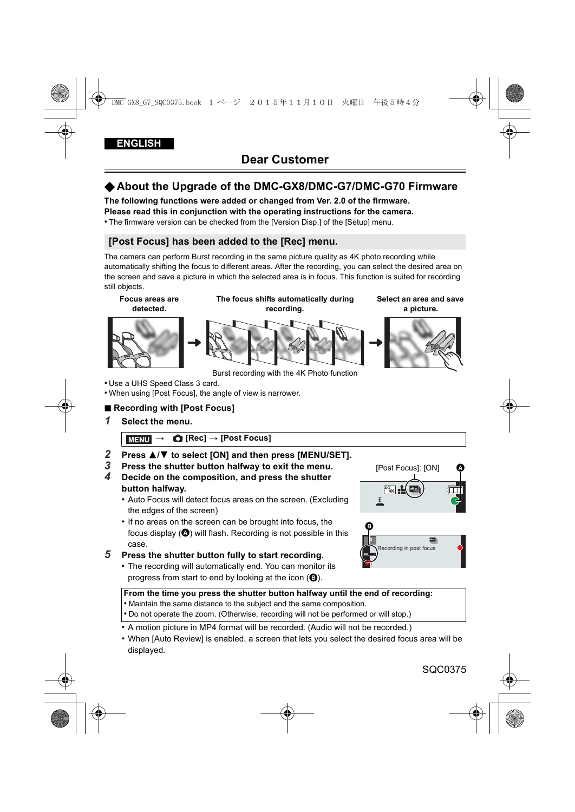# √**About the Upgrade of the DMC-GX8/DMC-G7/DMC-G70 Firmware**

**The following functions were added or changed from Ver. 2.0 of the firmware. Please read this in conjunction with the operating instructions for the camera.**

• The firmware version can be checked from the [Version Disp.] of the [Setup] menu.

## **[Post Focus] has been added to the [Rec] menu.**

The camera can perform Burst recording in the same picture quality as 4K photo recording while automatically shifting the focus to different areas. After the recording, you can select the desired area on the screen and save a picture in which the selected area is in focus. This function is suited for recording still objects.

**Focus areas are detected.**





Burst recording with the 4K Photo function

- Use a UHS Speed Class 3 card.
- When using [Post Focus], the angle of view is narrower.

## ∫ **Recording with [Post Focus]**

*1* **Select the menu.**

> **[Rec]** > **[Post Focus]** MENU

- *2* **Press** 3**/**4 **to select [ON] and then press [MENU/SET].**
- *3* **Press the shutter button halfway to exit the menu.**
- *4* **Decide on the composition, and press the shutter button halfway.**
	- Auto Focus will detect focus areas on the screen. (Excluding the edges of the screen)
	- If no areas on the screen can be brought into focus, the focus display  $($ <sup>o</sup>) will flash. Recording is not possible in this case.

## *5* **Press the shutter button fully to start recording.**

• The recording will automatically end. You can monitor its progress from start to end by looking at the icon  $\left( \bigcirc \right)$ .





#### **From the time you press the shutter button halfway until the end of recording:**

- Maintain the same distance to the subject and the same composition.
- Do not operate the zoom. (Otherwise, recording will not be performed or will stop.)
- A motion picture in MP4 format will be recorded. (Audio will not be recorded.)
- When [Auto Review] is enabled, a screen that lets you select the desired focus area will be displayed.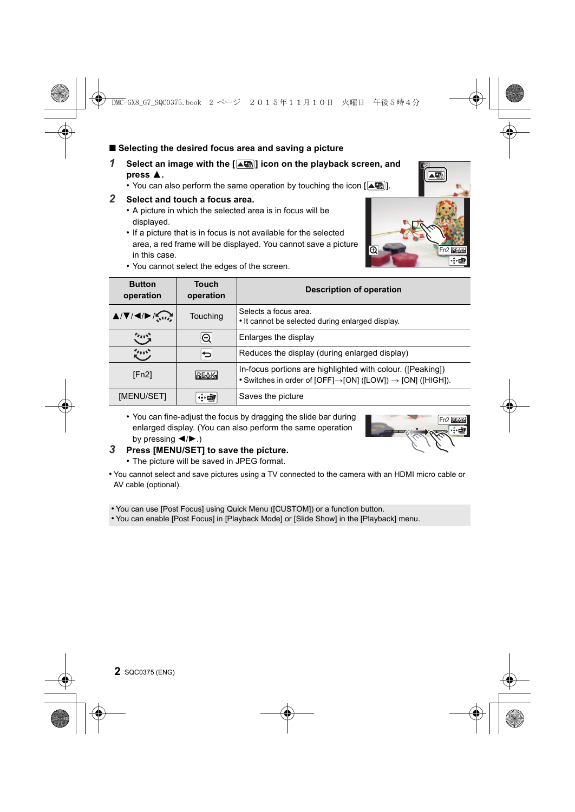### ■ Selecting the desired focus area and saving a picture

- *1* **Select an image with the [ ] icon on the playback screen, and**  press  $\triangle$ .
	- You can also perform the same operation by touching the icon  $[$
- *2* **Select and touch a focus area.**
	- A picture in which the selected area is in focus will be displayed.
	- If a picture that is in focus is not available for the selected area, a red frame will be displayed. You cannot save a picture in this case.
	- You cannot select the edges of the screen.

| <b>Button</b><br>operation                                                                             | Touch<br>operation | <b>Description of operation</b>                                                                                                                    |
|--------------------------------------------------------------------------------------------------------|--------------------|----------------------------------------------------------------------------------------------------------------------------------------------------|
| $\triangle$ / $\nabla$ / $\triangleleft$ / $\triangleright$ / $\bigcirc$ <sub>3</sub> 11/ <sub>2</sub> | <b>Touching</b>    | Selects a focus area.<br>• It cannot be selected during enlarged display.                                                                          |
| ぐハウ                                                                                                    | $\overline{\circ}$ | Enlarges the display                                                                                                                               |
| クロウ                                                                                                    | 宝                  | Reduces the display (during enlarged display)                                                                                                      |
| [Fn2]                                                                                                  | PEAK               | In-focus portions are highlighted with colour. ([Peaking])<br>• Switches in order of [OFF] $\rightarrow$ [ON] ([LOW]) $\rightarrow$ [ON] ([HIGH]). |
| [MENU/SET]                                                                                             | 金卤                 | Saves the picture                                                                                                                                  |

- You can fine-adjust the focus by dragging the slide bar during enlarged display. (You can also perform the same operation by pressing  $\blacktriangleleft$ / $\blacktriangleright$ .)
- Fn2 BEAK
- *3* **Press [MENU/SET] to save the picture.**
	- The picture will be saved in JPEG format.
- You cannot select and save pictures using a TV connected to the camera with an HDMI micro cable or AV cable (optional).

• You can use [Post Focus] using Quick Menu ([CUSTOM]) or a function button.

• You can enable [Post Focus] in [Playback Mode] or [Slide Show] in the [Playback] menu.